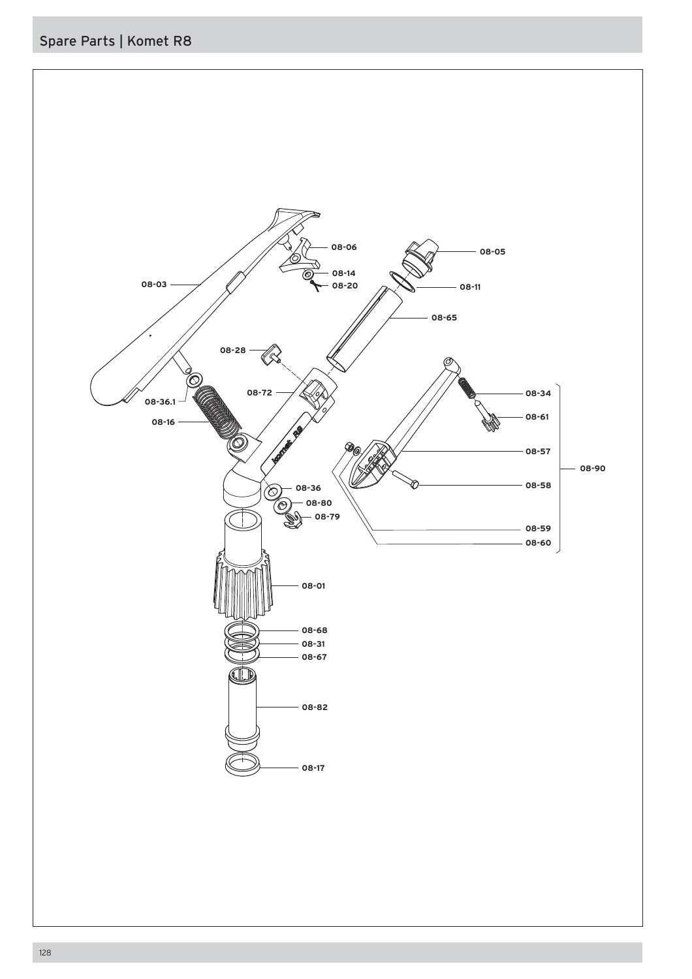